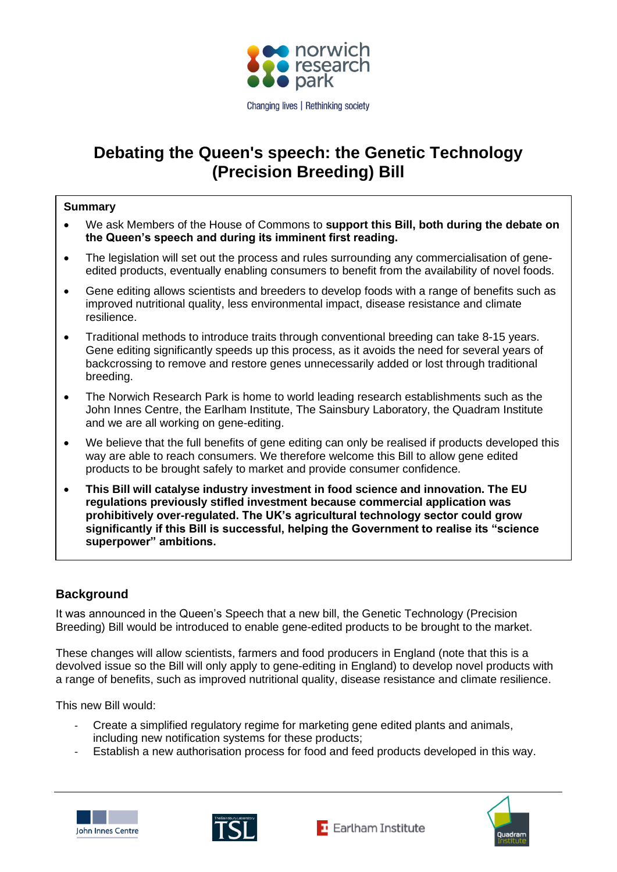

# **Debating the Queen's speech: the Genetic Technology (Precision Breeding) Bill**

#### **Summary**

- We ask Members of the House of Commons to **support this Bill, both during the debate on the Queen's speech and during its imminent first reading.**
- The legislation will set out the process and rules surrounding any commercialisation of geneedited products, eventually enabling consumers to benefit from the availability of novel foods.
- Gene editing allows scientists and breeders to develop foods with a range of benefits such as improved nutritional quality, less environmental impact, disease resistance and climate resilience.
- Traditional methods to introduce traits through conventional breeding can take 8-15 years. Gene editing significantly speeds up this process, as it avoids the need for several years of backcrossing to remove and restore genes unnecessarily added or lost through traditional breeding.
- The Norwich Research Park is home to world leading research establishments such as the John Innes Centre, the Earlham Institute, The Sainsbury Laboratory, the Quadram Institute and we are all working on gene-editing.
- We believe that the full benefits of gene editing can only be realised if products developed this way are able to reach consumers. We therefore welcome this Bill to allow gene edited products to be brought safely to market and provide consumer confidence.
- **This Bill will catalyse industry investment in food science and innovation. The EU regulations previously stifled investment because commercial application was prohibitively over-regulated. The UK's agricultural technology sector could grow significantly if this Bill is successful, helping the Government to realise its "science superpower" ambitions.**

# **Background**

It was announced in the Queen's Speech that a new bill, the Genetic Technology (Precision Breeding) Bill would be introduced to enable gene-edited products to be brought to the market.

These changes will allow scientists, farmers and food producers in England (note that this is a devolved issue so the Bill will only apply to gene-editing in England) to develop novel products with a range of benefits, such as improved nutritional quality, disease resistance and climate resilience.

This new Bill would:

- Create a simplified regulatory regime for marketing gene edited plants and animals, including new notification systems for these products;
- Establish a new authorisation process for food and feed products developed in this way.







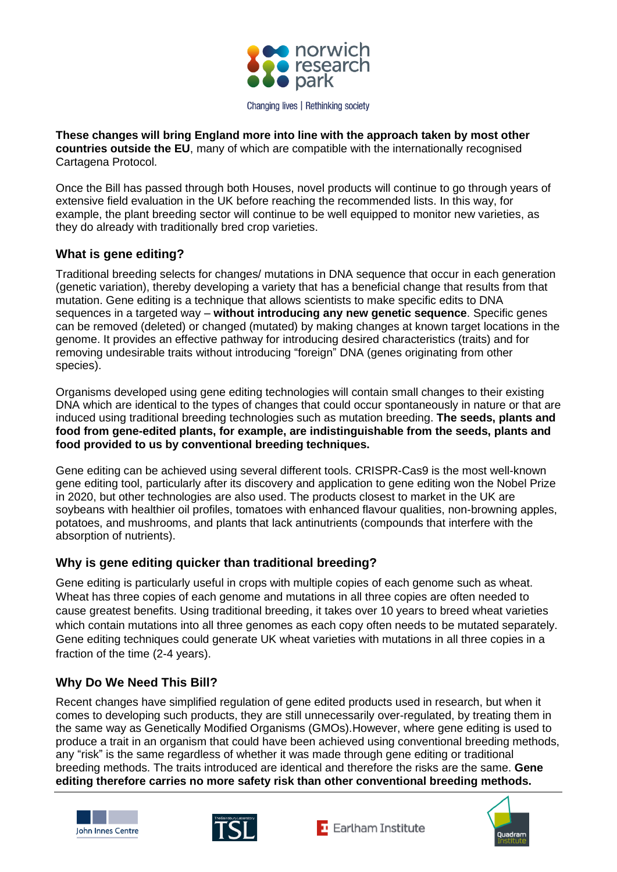

**These changes will bring England more into line with the approach taken by most other countries outside the EU**, many of which are compatible with the internationally recognised Cartagena Protocol.

Once the Bill has passed through both Houses, novel products will continue to go through years of extensive field evaluation in the UK before reaching the recommended lists. In this way, for example, the plant breeding sector will continue to be well equipped to monitor new varieties, as they do already with traditionally bred crop varieties.

# **What is gene editing?**

Traditional breeding selects for changes/ mutations in DNA sequence that occur in each generation (genetic variation), thereby developing a variety that has a beneficial change that results from that mutation. Gene editing is a technique that allows scientists to make specific edits to DNA sequences in a targeted way – **without introducing any new genetic sequence**. Specific genes can be removed (deleted) or changed (mutated) by making changes at known target locations in the genome. It provides an effective pathway for introducing desired characteristics (traits) and for removing undesirable traits without introducing "foreign" DNA (genes originating from other species).

Organisms developed using gene editing technologies will contain small changes to their existing DNA which are identical to the types of changes that could occur spontaneously in nature or that are induced using traditional breeding technologies such as mutation breeding. **The seeds, plants and food from gene-edited plants, for example, are indistinguishable from the seeds, plants and food provided to us by conventional breeding techniques.**

Gene editing can be achieved using several different tools. CRISPR-Cas9 is the most well-known gene editing tool, particularly after its discovery and application to gene editing won the Nobel Prize in 2020, but other technologies are also used. The products closest to market in the UK are soybeans with healthier oil profiles, tomatoes with enhanced flavour qualities, non-browning apples, potatoes, and mushrooms, and plants that lack antinutrients (compounds that interfere with the absorption of nutrients).

# **Why is gene editing quicker than traditional breeding?**

Gene editing is particularly useful in crops with multiple copies of each genome such as wheat. Wheat has three copies of each genome and mutations in all three copies are often needed to cause greatest benefits. Using traditional breeding, it takes over 10 years to breed wheat varieties which contain mutations into all three genomes as each copy often needs to be mutated separately. Gene editing techniques could generate UK wheat varieties with mutations in all three copies in a fraction of the time (2-4 years).

# **Why Do We Need This Bill?**

Recent changes have simplified regulation of gene edited products used in research, but when it comes to developing such products, they are still unnecessarily over-regulated, by treating them in the same way as Genetically Modified Organisms (GMOs).However, where gene editing is used to produce a trait in an organism that could have been achieved using conventional breeding methods, any "risk" is the same regardless of whether it was made through gene editing or traditional breeding methods. The traits introduced are identical and therefore the risks are the same. **Gene editing therefore carries no more safety risk than other conventional breeding methods.**







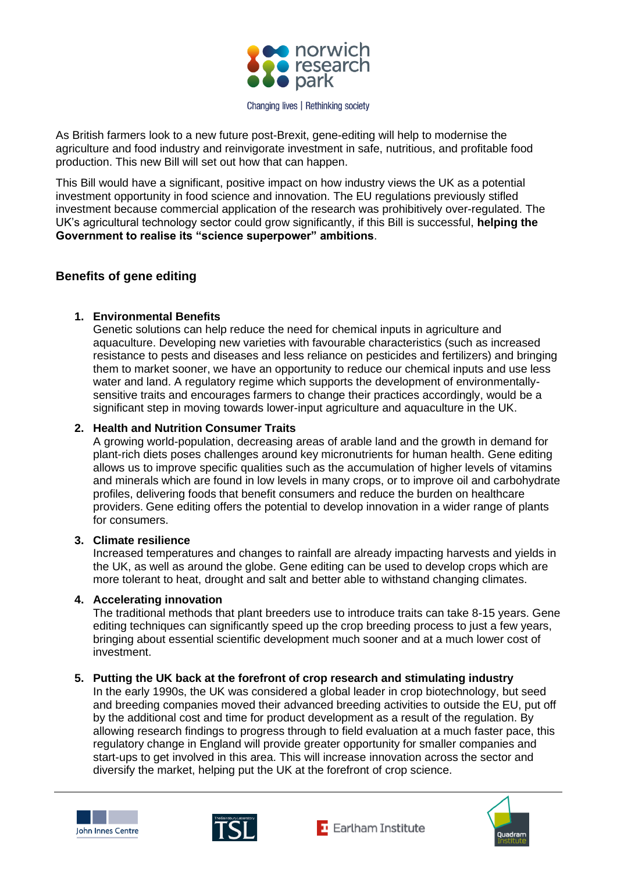

As British farmers look to a new future post-Brexit, gene-editing will help to modernise the agriculture and food industry and reinvigorate investment in safe, nutritious, and profitable food production. This new Bill will set out how that can happen.

This Bill would have a significant, positive impact on how industry views the UK as a potential investment opportunity in food science and innovation. The EU regulations previously stifled investment because commercial application of the research was prohibitively over-regulated. The UK's agricultural technology sector could grow significantly, if this Bill is successful, **helping the Government to realise its "science superpower" ambitions**.

## **Benefits of gene editing**

### **1. Environmental Benefits**

Genetic solutions can help reduce the need for chemical inputs in agriculture and aquaculture. Developing new varieties with favourable characteristics (such as increased resistance to pests and diseases and less reliance on pesticides and fertilizers) and bringing them to market sooner, we have an opportunity to reduce our chemical inputs and use less water and land. A regulatory regime which supports the development of environmentallysensitive traits and encourages farmers to change their practices accordingly, would be a significant step in moving towards lower-input agriculture and aquaculture in the UK.

#### **2. Health and Nutrition Consumer Traits**

A growing world-population, decreasing areas of arable land and the growth in demand for plant-rich diets poses challenges around key micronutrients for human health. Gene editing allows us to improve specific qualities such as the accumulation of higher levels of vitamins and minerals which are found in low levels in many crops, or to improve oil and carbohydrate profiles, delivering foods that benefit consumers and reduce the burden on healthcare providers. Gene editing offers the potential to develop innovation in a wider range of plants for consumers.

#### **3. Climate resilience**

Increased temperatures and changes to rainfall are already impacting harvests and yields in the UK, as well as around the globe. Gene editing can be used to develop crops which are more tolerant to heat, drought and salt and better able to withstand changing climates.

#### **4. Accelerating innovation**

The traditional methods that plant breeders use to introduce traits can take 8-15 years. Gene editing techniques can significantly speed up the crop breeding process to just a few years, bringing about essential scientific development much sooner and at a much lower cost of investment.

#### **5. Putting the UK back at the forefront of crop research and stimulating industry**

In the early 1990s, the UK was considered a global leader in crop biotechnology, but seed and breeding companies moved their advanced breeding activities to outside the EU, put off by the additional cost and time for product development as a result of the regulation. By allowing research findings to progress through to field evaluation at a much faster pace, this regulatory change in England will provide greater opportunity for smaller companies and start-ups to get involved in this area. This will increase innovation across the sector and diversify the market, helping put the UK at the forefront of crop science.